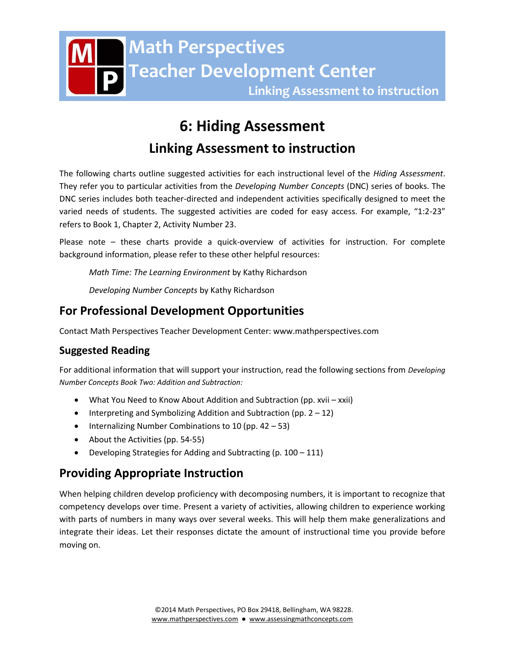# **6: Hiding Assessment**

# **Linking Assessment to instruction**

The following charts outline suggested activities for each instructional level of the *Hiding Assessment*. They refer you to particular activities from the *Developing Number Concepts* (DNC) series of books. The DNC series includes both teacher-directed and independent activities specifically designed to meet the varied needs of students. The suggested activities are coded for easy access. For example, "1:2-23" refers to Book 1, Chapter 2, Activity Number 23.

Please note – these charts provide a quick-overview of activities for instruction. For complete background information, please refer to these other helpful resources:

*Math Time: The Learning Environment* by Kathy Richardson

*Developing Number Concepts* by Kathy Richardson

## **For Professional Development Opportunities**

Contact Math Perspectives Teacher Development Center: www.mathperspectives.com

## **Suggested Reading**

For additional information that will support your instruction, read the following sections from *Developing Number Concepts Book Two: Addition and Subtraction:*

- What You Need to Know About Addition and Subtraction (pp. xvii xxii)
- $\bullet$  Interpreting and Symbolizing Addition and Subtraction (pp. 2 12)
- $\bullet$  Internalizing Number Combinations to 10 (pp. 42 53)
- About the Activities (pp. 54-55)
- Developing Strategies for Adding and Subtracting (p. 100 111)

## **Providing Appropriate Instruction**

When helping children develop proficiency with decomposing numbers, it is important to recognize that competency develops over time. Present a variety of activities, allowing children to experience working with parts of numbers in many ways over several weeks. This will help them make generalizations and integrate their ideas. Let their responses dictate the amount of instructional time you provide before moving on.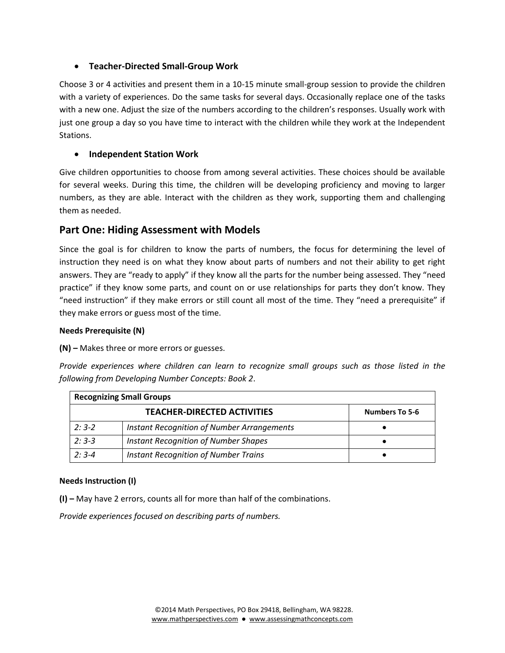#### **Teacher-Directed Small-Group Work**

Choose 3 or 4 activities and present them in a 10-15 minute small-group session to provide the children with a variety of experiences. Do the same tasks for several days. Occasionally replace one of the tasks with a new one. Adjust the size of the numbers according to the children's responses. Usually work with just one group a day so you have time to interact with the children while they work at the Independent Stations.

#### **Independent Station Work**

Give children opportunities to choose from among several activities. These choices should be available for several weeks. During this time, the children will be developing proficiency and moving to larger numbers, as they are able. Interact with the children as they work, supporting them and challenging them as needed.

### **Part One: Hiding Assessment with Models**

Since the goal is for children to know the parts of numbers, the focus for determining the level of instruction they need is on what they know about parts of numbers and not their ability to get right answers. They are "ready to apply" if they know all the parts for the number being assessed. They "need practice" if they know some parts, and count on or use relationships for parts they don't know. They "need instruction" if they make errors or still count all most of the time. They "need a prerequisite" if they make errors or guess most of the time.

#### **Needs Prerequisite (N)**

**(N) –** Makes three or more errors or guesses.

*Provide experiences where children can learn to recognize small groups such as those listed in the following from Developing Number Concepts: Book 2*.

| <b>Recognizing Small Groups</b> |                                                   |                       |  |
|---------------------------------|---------------------------------------------------|-----------------------|--|
|                                 | <b>TEACHER-DIRECTED ACTIVITIES</b>                | <b>Numbers To 5-6</b> |  |
| $2:3-2$                         | <b>Instant Recognition of Number Arrangements</b> |                       |  |
| $2:3-3$                         | <b>Instant Recognition of Number Shapes</b>       |                       |  |
| $2:3-4$                         | <b>Instant Recognition of Number Trains</b>       |                       |  |

#### **Needs Instruction (I)**

**(I) –** May have 2 errors, counts all for more than half of the combinations.

*Provide experiences focused on describing parts of numbers.*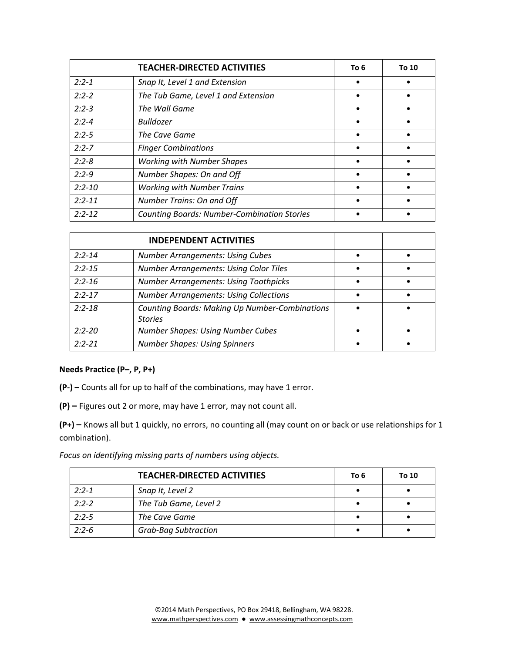|            | <b>TEACHER-DIRECTED ACTIVITIES</b>                 | To 6 | To 10 |
|------------|----------------------------------------------------|------|-------|
| $2:2 - 1$  | Snap It, Level 1 and Extension                     |      |       |
| $2:2 - 2$  | The Tub Game, Level 1 and Extension                |      |       |
| $2:2-3$    | The Wall Game                                      |      |       |
| $2:2 - 4$  | <b>Bulldozer</b>                                   |      |       |
| $2:2-5$    | The Cave Game                                      |      |       |
| $2:2 - 7$  | <b>Finger Combinations</b>                         |      |       |
| $2:2 - 8$  | <b>Working with Number Shapes</b>                  |      |       |
| $2:2-9$    | Number Shapes: On and Off                          |      |       |
| $2:2 - 10$ | <b>Working with Number Trains</b>                  |      |       |
| $2:2 - 11$ | <b>Number Trains: On and Off</b>                   |      |       |
| $2:2 - 12$ | <b>Counting Boards: Number-Combination Stories</b> |      |       |

|            | <b>INDEPENDENT ACTIVITIES</b>                                           |  |
|------------|-------------------------------------------------------------------------|--|
| $2:2 - 14$ | <b>Number Arrangements: Using Cubes</b>                                 |  |
| $2:2 - 15$ | <b>Number Arrangements: Using Color Tiles</b>                           |  |
| $2:2 - 16$ | <b>Number Arrangements: Using Toothpicks</b>                            |  |
| $2:2 - 17$ | <b>Number Arrangements: Using Collections</b>                           |  |
| $2:2 - 18$ | <b>Counting Boards: Making Up Number-Combinations</b><br><b>Stories</b> |  |
| $2:2 - 20$ | <b>Number Shapes: Using Number Cubes</b>                                |  |
| $2:2 - 21$ | <b>Number Shapes: Using Spinners</b>                                    |  |

#### **Needs Practice (P–, P, P+)**

**(P-) –** Counts all for up to half of the combinations, may have 1 error.

**(P) –** Figures out 2 or more, may have 1 error, may not count all.

**(P+) –** Knows all but 1 quickly, no errors, no counting all (may count on or back or use relationships for 1 combination).

*Focus on identifying missing parts of numbers using objects.* 

|           | <b>TEACHER-DIRECTED ACTIVITIES</b> | To 6 | To 10 |
|-----------|------------------------------------|------|-------|
| $2:2 - 1$ | Snap It, Level 2                   |      |       |
| $2:2 - 2$ | The Tub Game, Level 2              |      |       |
| $2:2-5$   | The Cave Game                      |      |       |
| $2:2-6$   | <b>Grab-Bag Subtraction</b>        |      |       |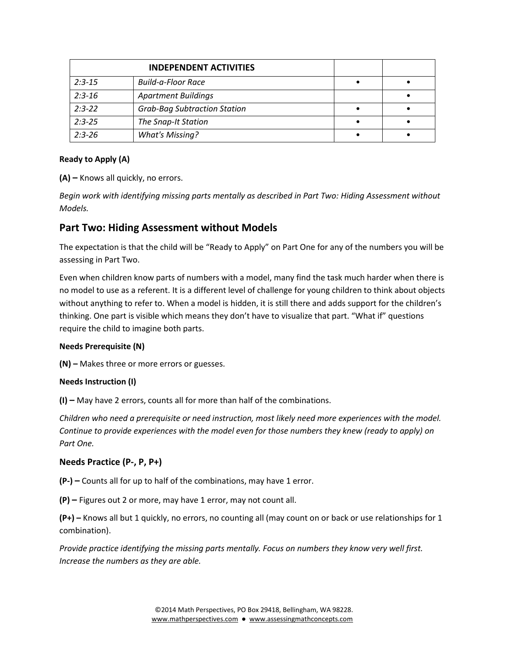|            | <b>INDEPENDENT ACTIVITIES</b>       |  |
|------------|-------------------------------------|--|
| $2:3-15$   | <b>Build-a-Floor Race</b>           |  |
| $2:3-16$   | <b>Apartment Buildings</b>          |  |
| $2:3 - 22$ | <b>Grab-Bag Subtraction Station</b> |  |
| $2:3-25$   | The Snap-It Station                 |  |
| $2:3-26$   | <b>What's Missing?</b>              |  |

#### **Ready to Apply (A)**

**(A) –** Knows all quickly, no errors.

*Begin work with identifying missing parts mentally as described in Part Two: Hiding Assessment without Models.*

### **Part Two: Hiding Assessment without Models**

The expectation is that the child will be "Ready to Apply" on Part One for any of the numbers you will be assessing in Part Two.

Even when children know parts of numbers with a model, many find the task much harder when there is no model to use as a referent. It is a different level of challenge for young children to think about objects without anything to refer to. When a model is hidden, it is still there and adds support for the children's thinking. One part is visible which means they don't have to visualize that part. "What if" questions require the child to imagine both parts.

#### **Needs Prerequisite (N)**

**(N) –** Makes three or more errors or guesses.

#### **Needs Instruction (I)**

**(I) –** May have 2 errors, counts all for more than half of the combinations.

*Children who need a prerequisite or need instruction, most likely need more experiences with the model. Continue to provide experiences with the model even for those numbers they knew (ready to apply) on Part One.* 

#### **Needs Practice (P-, P, P+)**

**(P-) –** Counts all for up to half of the combinations, may have 1 error.

**(P) –** Figures out 2 or more, may have 1 error, may not count all.

**(P+) –** Knows all but 1 quickly, no errors, no counting all (may count on or back or use relationships for 1 combination).

*Provide practice identifying the missing parts mentally. Focus on numbers they know very well first. Increase the numbers as they are able.*